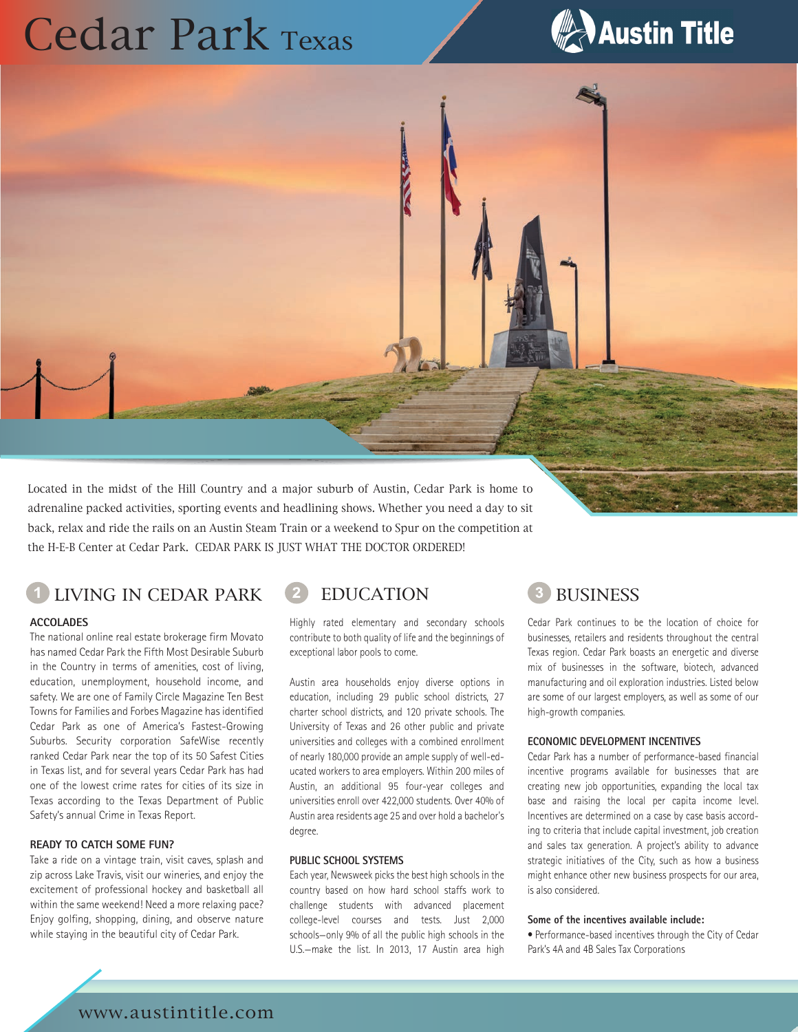# Cedar Park Texas



Located in the midst of the Hill Country and a major suburb of Austin, Cedar Park is home to adrenaline packed activities, sporting events and headlining shows. Whether you need a day to sit back, relax and ride the rails on an Austin Steam Train or a weekend to Spur on the competition at the H-E-B Center at Cedar Park. CEDAR PARK IS JUST WHAT THE DOCTOR ORDERED!

## LIVING IN CEDAR PARK (2) EDUCATION (3) BUSINESS

#### **ACCOLADES**

The national online real estate brokerage firm Movato has named Cedar Park the Fifth Most Desirable Suburb in the Country in terms of amenities, cost of living, education, unemployment, household income, and safety. We are one of Family Circle Magazine Ten Best Towns for Families and Forbes Magazine has identified Cedar Park as one of America's Fastest-Growing Suburbs. Security corporation SafeWise recently ranked Cedar Park near the top of its 50 Safest Cities in Texas list, and for several years Cedar Park has had one of the lowest crime rates for cities of its size in Texas according to the Texas Department of Public Safety's annual Crime in Texas Report.

#### **READY TO CATCH SOME FUN?**

Take a ride on a vintage train, visit caves, splash and zip across Lake Travis, visit our wineries, and enjoy the excitement of professional hockey and basketball all within the same weekend! Need a more relaxing pace? Enjoy golfing, shopping, dining, and observe nature while staying in the beautiful city of Cedar Park.

Highly rated elementary and secondary schools contribute to both quality of life and the beginnings of exceptional labor pools to come.

Austin area households enjoy diverse options in education, including 29 public school districts, 27 charter school districts, and 120 private schools. The University of Texas and 26 other public and private universities and colleges with a combined enrollment of nearly 180,000 provide an ample supply of well-educated workers to area employers. Within 200 miles of Austin, an additional 95 four-year colleges and universities enroll over 422,000 students. Over 40% of Austin area residents age 25 and over hold a bachelor's degree.

#### **PUBLIC SCHOOL SYSTEMS**

Each year, Newsweek picks the best high schools in the country based on how hard school staffs work to challenge students with advanced placement college-level courses and tests. Just 2,000 schools—only 9% of all the public high schools in the U.S.—make the list. In 2013, 17 Austin area high

Cedar Park continues to be the location of choice for businesses, retailers and residents throughout the central Texas region. Cedar Park boasts an energetic and diverse mix of businesses in the software, biotech, advanced manufacturing and oil exploration industries. Listed below are some of our largest employers, as well as some of our high-growth companies.

#### **ECONOMIC DEVELOPMENT INCENTIVES**

Cedar Park has a number of performance-based financial incentive programs available for businesses that are creating new job opportunities, expanding the local tax base and raising the local per capita income level. Incentives are determined on a case by case basis according to criteria that include capital investment, job creation and sales tax generation. A project's ability to advance strategic initiatives of the City, such as how a business might enhance other new business prospects for our area, is also considered.

#### **Some of the incentives available include:**

• Performance-based incentives through the City of Cedar Park's 4A and 4B Sales Tax Corporations